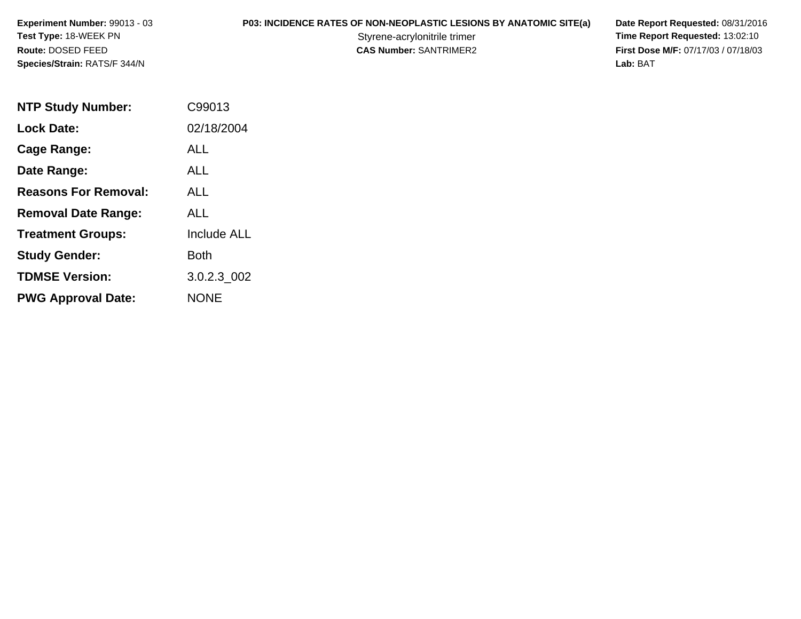**Experiment Number:** 99013 - 03**Test Type:** 18-WEEK PN**Route:** DOSED FEED**Species/Strain:** RATS/F 344/N

# **P03: INCIDENCE RATES OF NON-NEOPLASTIC LESIONS BY ANATOMIC SITE(a) Date Report Requested: 08/31/2016<br>Styrene-acrylonitrile trimer <b>Time Report Requested: 13:02:10**

Styrene-acrylonitrile trimer<br>
CAS Number: SANTRIMER2<br>
CAS Number: SANTRIMER2<br>
Tirst Dose M/F: 07/17/03 / 07/18/03 **First Dose M/F:** 07/17/03 / 07/18/03<br>Lab: BAT **Lab:** BAT

| <b>NTP Study Number:</b>    | C99013             |
|-----------------------------|--------------------|
| <b>Lock Date:</b>           | 02/18/2004         |
| Cage Range:                 | ALL                |
| Date Range:                 | ALL                |
| <b>Reasons For Removal:</b> | AI I               |
| <b>Removal Date Range:</b>  | ALL                |
| <b>Treatment Groups:</b>    | <b>Include ALL</b> |
| <b>Study Gender:</b>        | Both               |
| <b>TDMSE Version:</b>       | 3.0.2.3 002        |
| <b>PWG Approval Date:</b>   | <b>NONE</b>        |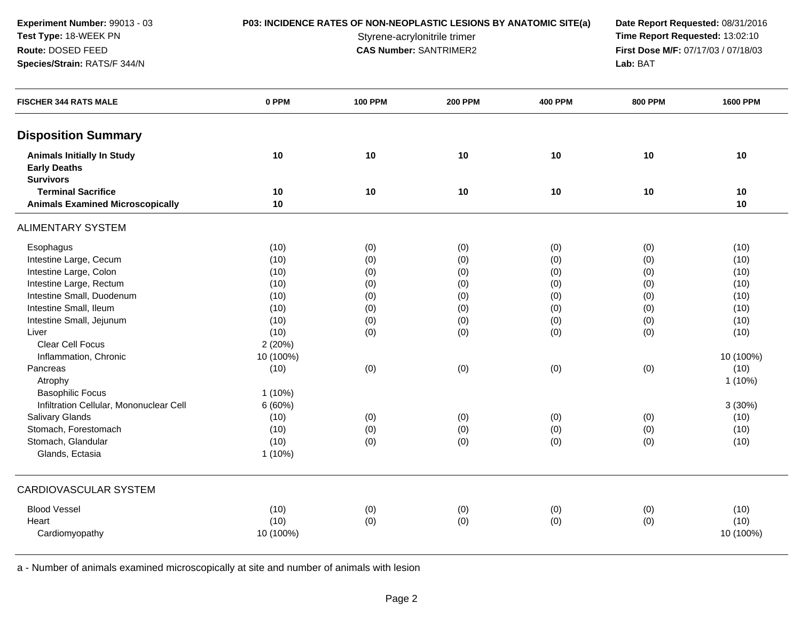**Experiment Number:** 99013 - 03**Test Type:** 18-WEEK PN**Route:** DOSED FEED**Species/Strain:** RATS/F 344/N

**P03: INCIDENCE RATES OF NON-NEOPLASTIC LESIONS BY ANATOMIC SITE(a) Date Report Requested: 08/31/2016<br>Styrene-acrylonitrile trimer <b>Time Report Requested:** 13:02:10 Styrene-acrylonitrile trimer<br> **CAS Number:** SANTRIMER2 **Time Report Requested:** 13:02:10<br> **First Dose M/F:** 07/17/03 / 07/18/03 **First Dose M/F:** 07/17/03 / 07/18/03<br>Lab: BAT **Lab:** BAT

| <b>FISCHER 344 RATS MALE</b>                             | 0 PPM     | <b>100 PPM</b> | <b>200 PPM</b> | <b>400 PPM</b> | <b>800 PPM</b> | <b>1600 PPM</b> |
|----------------------------------------------------------|-----------|----------------|----------------|----------------|----------------|-----------------|
| <b>Disposition Summary</b>                               |           |                |                |                |                |                 |
| <b>Animals Initially In Study</b><br><b>Early Deaths</b> | 10        | 10             | 10             | 10             | 10             | 10              |
| <b>Survivors</b>                                         |           |                |                |                |                |                 |
| <b>Terminal Sacrifice</b>                                | 10        | 10             | 10             | 10             | 10             | 10              |
| <b>Animals Examined Microscopically</b>                  | 10        |                |                |                |                | 10              |
| <b>ALIMENTARY SYSTEM</b>                                 |           |                |                |                |                |                 |
| Esophagus                                                | (10)      | (0)            | (0)            | (0)            | (0)            | (10)            |
| Intestine Large, Cecum                                   | (10)      | (0)            | (0)            | (0)            | (0)            | (10)            |
| Intestine Large, Colon                                   | (10)      | (0)            | (0)            | (0)            | (0)            | (10)            |
| Intestine Large, Rectum                                  | (10)      | (0)            | (0)            | (0)            | (0)            | (10)            |
| Intestine Small, Duodenum                                | (10)      | (0)            | (0)            | (0)            | (0)            | (10)            |
| Intestine Small, Ileum                                   | (10)      | (0)            | (0)            | (0)            | (0)            | (10)            |
| Intestine Small, Jejunum                                 | (10)      | (0)            | (0)            | (0)            | (0)            | (10)            |
| Liver                                                    | (10)      | (0)            | (0)            | (0)            | (0)            | (10)            |
| Clear Cell Focus                                         | 2(20%)    |                |                |                |                |                 |
| Inflammation, Chronic                                    | 10 (100%) |                |                |                |                | 10 (100%)       |
| Pancreas                                                 | (10)      | (0)            | (0)            | (0)            | (0)            | (10)            |
| Atrophy                                                  |           |                |                |                |                | $1(10\%)$       |
| <b>Basophilic Focus</b>                                  | $1(10\%)$ |                |                |                |                |                 |
| Infiltration Cellular, Mononuclear Cell                  | 6(60%)    |                |                |                |                | 3(30%)          |
| Salivary Glands                                          | (10)      | (0)            | (0)            | (0)            | (0)            | (10)            |
| Stomach, Forestomach                                     | (10)      | (0)            | (0)            | (0)            | (0)            | (10)            |
| Stomach, Glandular                                       | (10)      | (0)            | (0)            | (0)            | (0)            | (10)            |
| Glands, Ectasia                                          | $1(10\%)$ |                |                |                |                |                 |
| <b>CARDIOVASCULAR SYSTEM</b>                             |           |                |                |                |                |                 |
| <b>Blood Vessel</b>                                      | (10)      | (0)            | (0)            | (0)            | (0)            | (10)            |
| Heart                                                    | (10)      | (0)            | (0)            | (0)            | (0)            | (10)            |
| Cardiomyopathy                                           | 10 (100%) |                |                |                |                | 10 (100%)       |
|                                                          |           |                |                |                |                |                 |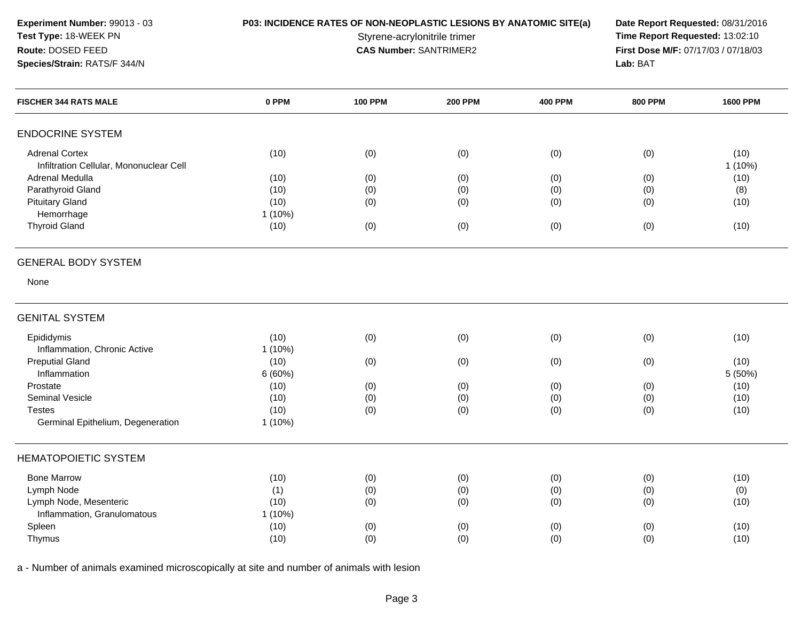**Experiment Number:** 99013 - 03**Test Type:** 18-WEEK PN**Route:** DOSED FEED**Species/Strain:** RATS/F 344/N

## **P03: INCIDENCE RATES OF NON-NEOPLASTIC LESIONS BY ANATOMIC SITE(a) Date Report Requested: 08/31/2016<br>Styrene-acrylonitrile trimer <b>Time Report Requested:** 13:02:10

Styrene-acrylonitrile trimer<br> **CAS Number:** SANTRIMER2 **Time Report Requested:** 13:02:10<br> **First Dose M/F:** 07/17/03 / 07/18/03 **First Dose M/F:** 07/17/03 / 07/18/03<br>Lab: BAT **Lab:** BAT

| 0 PPM<br><b>FISCHER 344 RATS MALE</b>                                    | <b>100 PPM</b> | <b>200 PPM</b> | <b>400 PPM</b> | <b>800 PPM</b> | <b>1600 PPM</b> |
|--------------------------------------------------------------------------|----------------|----------------|----------------|----------------|-----------------|
| <b>ENDOCRINE SYSTEM</b>                                                  |                |                |                |                |                 |
| <b>Adrenal Cortex</b><br>(10)<br>Infiltration Cellular, Mononuclear Cell | (0)            | (0)            | (0)            | (0)            | (10)<br>1(10%)  |
| Adrenal Medulla<br>(10)                                                  | (0)            | (0)            | (0)            | (0)            | (10)            |
| Parathyroid Gland<br>(10)                                                | (0)            | (0)            | (0)            | (0)            | (8)             |
| <b>Pituitary Gland</b><br>(10)                                           | (0)            | (0)            | (0)            | (0)            | (10)            |
| Hemorrhage<br>1 (10%)                                                    |                |                |                |                |                 |
| <b>Thyroid Gland</b><br>(10)                                             | (0)            | (0)            | (0)            | (0)            | (10)            |
| <b>GENERAL BODY SYSTEM</b>                                               |                |                |                |                |                 |
| None                                                                     |                |                |                |                |                 |
| <b>GENITAL SYSTEM</b>                                                    |                |                |                |                |                 |
| Epididymis<br>(10)<br>Inflammation, Chronic Active<br>1(10%)             | (0)            | (0)            | (0)            | (0)            | (10)            |
| <b>Preputial Gland</b><br>(10)                                           | (0)            | (0)            | (0)            | (0)            | (10)            |
| Inflammation<br>6(60%)                                                   |                |                |                |                | 5 (50%)         |
| (10)<br>Prostate                                                         | (0)            | (0)            | (0)            | (0)            | (10)            |
| <b>Seminal Vesicle</b><br>(10)                                           | (0)            | (0)            | (0)            | (0)            | (10)            |
| (10)<br><b>Testes</b>                                                    | (0)            | (0)            | (0)            | (0)            | (10)            |
| Germinal Epithelium, Degeneration<br>1 (10%)                             |                |                |                |                |                 |
| <b>HEMATOPOIETIC SYSTEM</b>                                              |                |                |                |                |                 |
| <b>Bone Marrow</b><br>(10)                                               | (0)            | (0)            | (0)            | (0)            | (10)            |
| Lymph Node<br>(1)                                                        | (0)            | (0)            | (0)            | (0)            | (0)             |
| Lymph Node, Mesenteric<br>(10)                                           | (0)            | (0)            | (0)            | (0)            | (10)            |
| Inflammation, Granulomatous<br>1 (10%)                                   |                |                |                |                |                 |
|                                                                          |                |                |                |                |                 |
| Spleen<br>(10)                                                           | (0)            | (0)            | (0)            | (0)            | (10)            |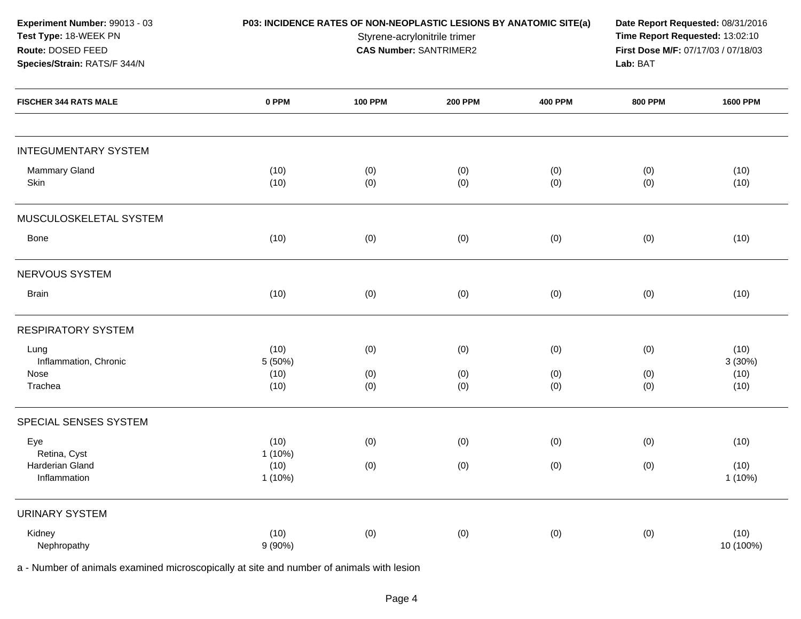| Experiment Number: 99013 - 03<br>Test Type: 18-WEEK PN<br>Route: DOSED FEED<br>Species/Strain: RATS/F 344/N | P03: INCIDENCE RATES OF NON-NEOPLASTIC LESIONS BY ANATOMIC SITE(a) | Date Report Requested: 08/31/2016<br>Time Report Requested: 13:02:10<br>First Dose M/F: 07/17/03 / 07/18/03<br>Lab: BAT |                |                |                |                   |
|-------------------------------------------------------------------------------------------------------------|--------------------------------------------------------------------|-------------------------------------------------------------------------------------------------------------------------|----------------|----------------|----------------|-------------------|
| <b>FISCHER 344 RATS MALE</b>                                                                                | 0 PPM                                                              | <b>100 PPM</b>                                                                                                          | <b>200 PPM</b> | <b>400 PPM</b> | <b>800 PPM</b> | <b>1600 PPM</b>   |
| <b>INTEGUMENTARY SYSTEM</b>                                                                                 |                                                                    |                                                                                                                         |                |                |                |                   |
| Mammary Gland<br>Skin                                                                                       | (10)<br>(10)                                                       | (0)<br>(0)                                                                                                              | (0)<br>(0)     | (0)<br>(0)     | (0)<br>(0)     | (10)<br>(10)      |
| MUSCULOSKELETAL SYSTEM                                                                                      |                                                                    |                                                                                                                         |                |                |                |                   |
| Bone                                                                                                        | (10)                                                               | (0)                                                                                                                     | (0)            | (0)            | (0)            | (10)              |
| NERVOUS SYSTEM                                                                                              |                                                                    |                                                                                                                         |                |                |                |                   |
| <b>Brain</b>                                                                                                | (10)                                                               | (0)                                                                                                                     | (0)            | (0)            | (0)            | (10)              |
| <b>RESPIRATORY SYSTEM</b>                                                                                   |                                                                    |                                                                                                                         |                |                |                |                   |
| Lung<br>Inflammation, Chronic                                                                               | (10)<br>5 (50%)                                                    | (0)                                                                                                                     | (0)            | (0)            | (0)            | (10)<br>3(30%)    |
| Nose<br>Trachea                                                                                             | (10)<br>(10)                                                       | (0)<br>(0)                                                                                                              | (0)<br>(0)     | (0)<br>(0)     | (0)<br>(0)     | (10)<br>(10)      |
| SPECIAL SENSES SYSTEM                                                                                       |                                                                    |                                                                                                                         |                |                |                |                   |
| Eye<br>Retina, Cyst                                                                                         | (10)<br>$1(10\%)$                                                  | (0)                                                                                                                     | (0)            | (0)            | (0)            | (10)              |
| Harderian Gland<br>Inflammation                                                                             | (10)<br>1(10%)                                                     | (0)                                                                                                                     | (0)            | (0)            | (0)            | (10)<br>1(10%)    |
| <b>URINARY SYSTEM</b>                                                                                       |                                                                    |                                                                                                                         |                |                |                |                   |
| Kidney<br>Nephropathy                                                                                       | (10)<br>9(90%)                                                     | (0)                                                                                                                     | (0)            | (0)            | (0)            | (10)<br>10 (100%) |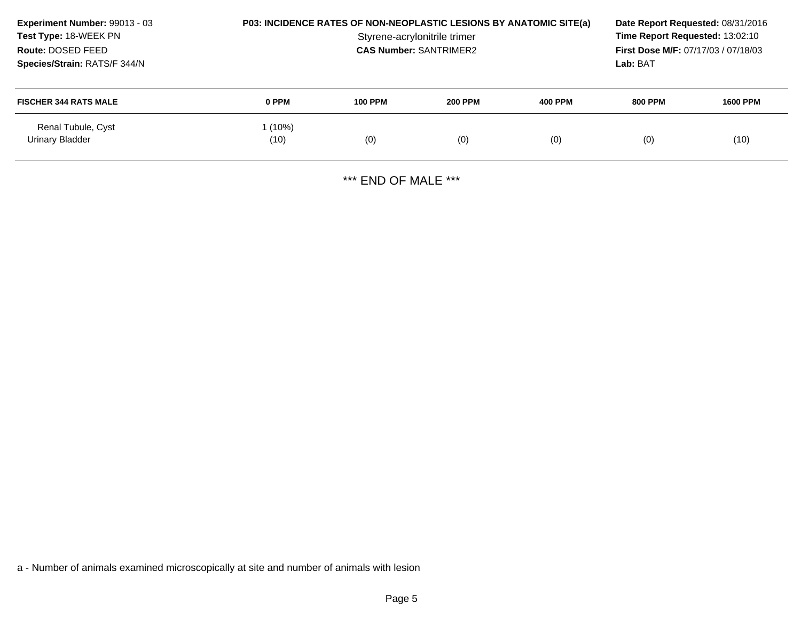| Experiment Number: 99013 - 03<br>Test Type: 18-WEEK PN<br>Route: DOSED FEED<br>Species/Strain: RATS/F 344/N | P03: INCIDENCE RATES OF NON-NEOPLASTIC LESIONS BY ANATOMIC SITE(a)<br>Styrene-acrylonitrile trimer<br><b>CAS Number: SANTRIMER2</b> |                |                |         | Time Report Requested: 13:02:10<br><b>First Dose M/F: 07/17/03 / 07/18/03</b><br>Lab: BAT | Date Report Requested: 08/31/2016 |
|-------------------------------------------------------------------------------------------------------------|-------------------------------------------------------------------------------------------------------------------------------------|----------------|----------------|---------|-------------------------------------------------------------------------------------------|-----------------------------------|
| <b>FISCHER 344 RATS MALE</b>                                                                                | 0 PPM                                                                                                                               | <b>100 PPM</b> | <b>200 PPM</b> | 400 PPM | <b>800 PPM</b>                                                                            | <b>1600 PPM</b>                   |
| Renal Tubule, Cyst<br>Urinary Bladder                                                                       | (10%)<br>(10)                                                                                                                       | (0)            | (0)            | (0)     | (0)                                                                                       | (10)                              |

\*\*\* END OF MALE \*\*\*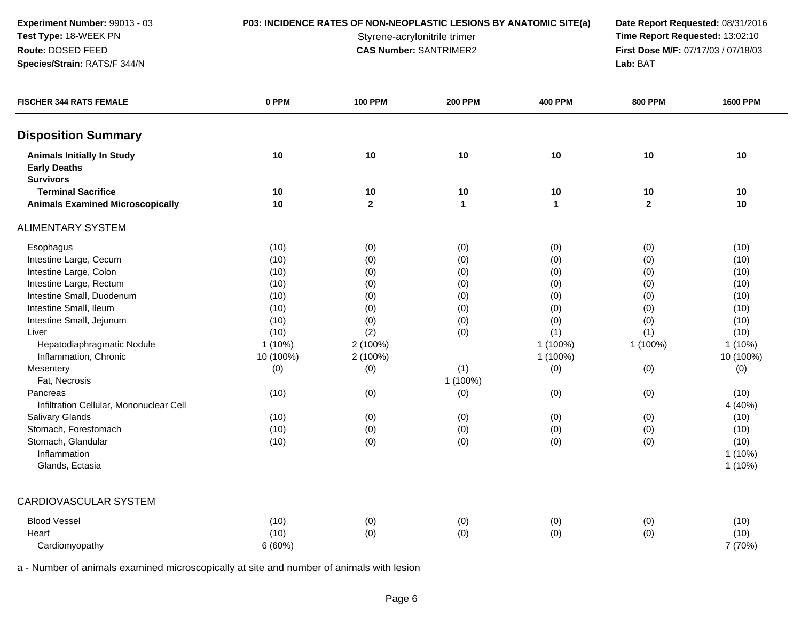**Experiment Number:** 99013 - 03**Test Type:** 18-WEEK PN**Route:** DOSED FEED

### **Species/Strain:** RATS/F 344/N

**P03: INCIDENCE RATES OF NON-NEOPLASTIC LESIONS BY ANATOMIC SITE(a) Date Report Requested: 08/31/2016<br>Styrene-acrylonitrile trimer <b>Time Report Requested:** 13:02:10 Styrene-acrylonitrile trimer<br> **CAS Number:** SANTRIMER2 **Time Report Requested:** 13:02:10<br> **First Dose M/F:** 07/17/03 / 07/18/03 **First Dose M/F:** 07/17/03 / 07/18/03<br>Lab: BAT **Lab:** BAT

| <b>FISCHER 344 RATS FEMALE</b>                           | 0 PPM     | <b>100 PPM</b> | <b>200 PPM</b> | <b>400 PPM</b> | <b>800 PPM</b> | <b>1600 PPM</b> |
|----------------------------------------------------------|-----------|----------------|----------------|----------------|----------------|-----------------|
| <b>Disposition Summary</b>                               |           |                |                |                |                |                 |
| <b>Animals Initially In Study</b><br><b>Early Deaths</b> | 10        | 10             | 10             | 10             | 10             | 10              |
| <b>Survivors</b>                                         |           |                |                |                |                |                 |
| <b>Terminal Sacrifice</b>                                | 10        | $10$           | 10             | 10             | 10             | 10              |
| <b>Animals Examined Microscopically</b>                  | 10        | $\mathbf{2}$   | $\mathbf{1}$   | $\mathbf{1}$   | $\mathbf{2}$   | 10              |
| <b>ALIMENTARY SYSTEM</b>                                 |           |                |                |                |                |                 |
| Esophagus                                                | (10)      | (0)            | (0)            | (0)            | (0)            | (10)            |
| Intestine Large, Cecum                                   | (10)      | (0)            | (0)            | (0)            | (0)            | (10)            |
| Intestine Large, Colon                                   | (10)      | (0)            | (0)            | (0)            | (0)            | (10)            |
| Intestine Large, Rectum                                  | (10)      | (0)            | (0)            | (0)            | (0)            | (10)            |
| Intestine Small, Duodenum                                | (10)      | (0)            | (0)            | (0)            | (0)            | (10)            |
| Intestine Small, Ileum                                   | (10)      | (0)            | (0)            | (0)            | (0)            | (10)            |
| Intestine Small, Jejunum                                 | (10)      | (0)            | (0)            | (0)            | (0)            | (10)            |
| Liver                                                    | (10)      | (2)            | (0)            | (1)            | (1)            | (10)            |
| Hepatodiaphragmatic Nodule                               | $1(10\%)$ | 2 (100%)       |                | 1 (100%)       | 1 (100%)       | $1(10\%)$       |
| Inflammation, Chronic                                    | 10 (100%) | 2 (100%)       |                | 1 (100%)       |                | 10 (100%)       |
| Mesentery                                                | (0)       | (0)            | (1)            | (0)            | (0)            | (0)             |
| Fat, Necrosis                                            |           |                | 1 (100%)       |                |                |                 |
| Pancreas                                                 | (10)      | (0)            | (0)            | (0)            | (0)            | (10)            |
| Infiltration Cellular, Mononuclear Cell                  |           |                |                |                |                | 4 (40%)         |
| Salivary Glands                                          | (10)      | (0)            | (0)            | (0)            | (0)            | (10)            |
| Stomach, Forestomach                                     | (10)      | (0)            | (0)            | (0)            | (0)            | (10)            |
| Stomach, Glandular                                       | (10)      | (0)            | (0)            | (0)            | (0)            | (10)            |
| Inflammation                                             |           |                |                |                |                | $1(10\%)$       |
| Glands, Ectasia                                          |           |                |                |                |                | $1(10\%)$       |
| CARDIOVASCULAR SYSTEM                                    |           |                |                |                |                |                 |
| <b>Blood Vessel</b>                                      | (10)      | (0)            | (0)            | (0)            | (0)            | (10)            |
| Heart                                                    | (10)      | (0)            | (0)            | (0)            | (0)            | (10)            |
| Cardiomyopathy                                           | 6(60%)    |                |                |                |                | 7 (70%)         |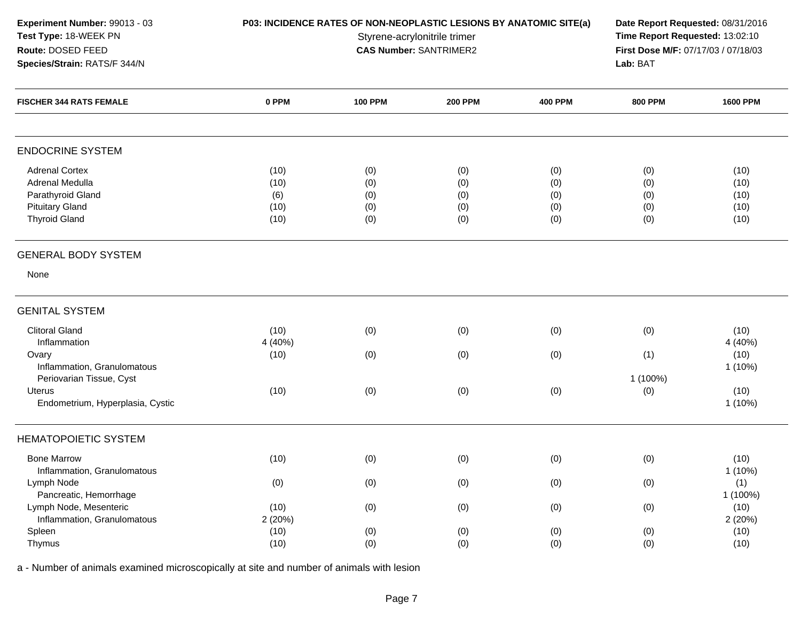| Experiment Number: 99013 - 03<br>Test Type: 18-WEEK PN<br>Route: DOSED FEED<br>Species/Strain: RATS/F 344/N     | P03: INCIDENCE RATES OF NON-NEOPLASTIC LESIONS BY ANATOMIC SITE(a) | Date Report Requested: 08/31/2016<br>Time Report Requested: 13:02:10<br>First Dose M/F: 07/17/03 / 07/18/03<br>Lab: BAT |                                 |                                 |                                 |                                      |
|-----------------------------------------------------------------------------------------------------------------|--------------------------------------------------------------------|-------------------------------------------------------------------------------------------------------------------------|---------------------------------|---------------------------------|---------------------------------|--------------------------------------|
| <b>FISCHER 344 RATS FEMALE</b>                                                                                  | 0 PPM                                                              | <b>100 PPM</b>                                                                                                          | <b>200 PPM</b>                  | <b>400 PPM</b>                  | <b>800 PPM</b>                  | <b>1600 PPM</b>                      |
| <b>ENDOCRINE SYSTEM</b>                                                                                         |                                                                    |                                                                                                                         |                                 |                                 |                                 |                                      |
| <b>Adrenal Cortex</b><br>Adrenal Medulla<br>Parathyroid Gland<br><b>Pituitary Gland</b><br><b>Thyroid Gland</b> | (10)<br>(10)<br>(6)<br>(10)<br>(10)                                | (0)<br>(0)<br>(0)<br>(0)<br>(0)                                                                                         | (0)<br>(0)<br>(0)<br>(0)<br>(0) | (0)<br>(0)<br>(0)<br>(0)<br>(0) | (0)<br>(0)<br>(0)<br>(0)<br>(0) | (10)<br>(10)<br>(10)<br>(10)<br>(10) |
| <b>GENERAL BODY SYSTEM</b>                                                                                      |                                                                    |                                                                                                                         |                                 |                                 |                                 |                                      |
| None                                                                                                            |                                                                    |                                                                                                                         |                                 |                                 |                                 |                                      |
| <b>GENITAL SYSTEM</b>                                                                                           |                                                                    |                                                                                                                         |                                 |                                 |                                 |                                      |
| <b>Clitoral Gland</b><br>Inflammation                                                                           | (10)<br>4 (40%)                                                    | (0)                                                                                                                     | (0)                             | (0)                             | (0)                             | (10)<br>4 (40%)                      |
| Ovary<br>Inflammation, Granulomatous                                                                            | (10)                                                               | (0)                                                                                                                     | (0)                             | (0)                             | (1)                             | (10)<br>$1(10\%)$                    |
| Periovarian Tissue, Cyst<br><b>Uterus</b><br>Endometrium, Hyperplasia, Cystic                                   | (10)                                                               | (0)                                                                                                                     | (0)                             | (0)                             | 1 (100%)<br>(0)                 | (10)<br>$1(10\%)$                    |
| <b>HEMATOPOIETIC SYSTEM</b>                                                                                     |                                                                    |                                                                                                                         |                                 |                                 |                                 |                                      |
| <b>Bone Marrow</b><br>Inflammation, Granulomatous                                                               | (10)                                                               | (0)                                                                                                                     | (0)                             | (0)                             | (0)                             | (10)<br>1 (10%)                      |
| Lymph Node<br>Pancreatic, Hemorrhage                                                                            | (0)                                                                | (0)                                                                                                                     | (0)                             | (0)                             | (0)                             | (1)<br>1 (100%)                      |
| Lymph Node, Mesenteric<br>Inflammation, Granulomatous                                                           | (10)<br>2(20%)                                                     | (0)                                                                                                                     | (0)                             | (0)                             | (0)                             | (10)<br>2(20%)                       |
| Spleen<br>Thymus                                                                                                | (10)<br>(10)                                                       | (0)<br>(0)                                                                                                              | (0)<br>(0)                      | (0)<br>(0)                      | (0)<br>(0)                      | (10)<br>(10)                         |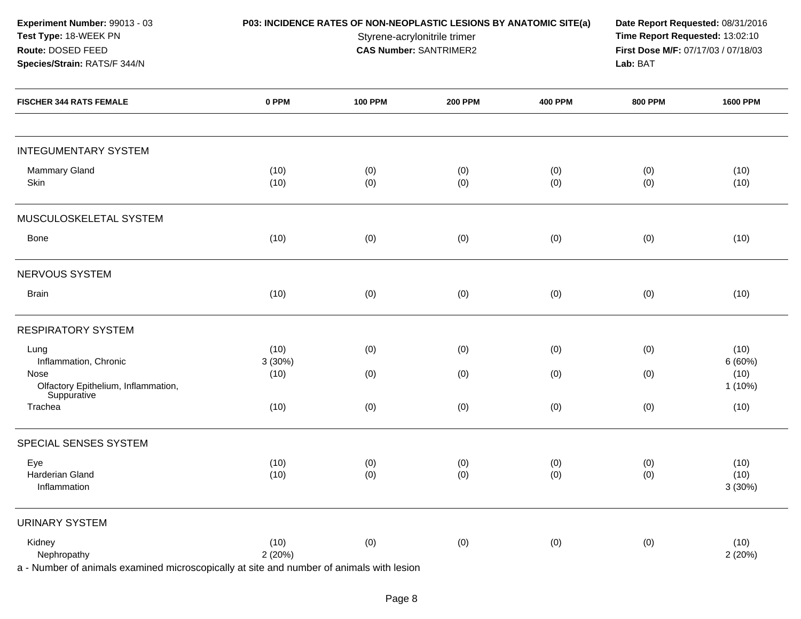| Experiment Number: 99013 - 03<br>Test Type: 18-WEEK PN<br>Route: DOSED FEED<br>Species/Strain: RATS/F 344/N       |                | P03: INCIDENCE RATES OF NON-NEOPLASTIC LESIONS BY ANATOMIC SITE(a) | Styrene-acrylonitrile trimer<br><b>CAS Number: SANTRIMER2</b> |                | Date Report Requested: 08/31/2016<br>Time Report Requested: 13:02:10<br>First Dose M/F: 07/17/03 / 07/18/03 |                        |
|-------------------------------------------------------------------------------------------------------------------|----------------|--------------------------------------------------------------------|---------------------------------------------------------------|----------------|-------------------------------------------------------------------------------------------------------------|------------------------|
| <b>FISCHER 344 RATS FEMALE</b>                                                                                    | 0 PPM          | <b>100 PPM</b>                                                     | <b>200 PPM</b>                                                | <b>400 PPM</b> | <b>800 PPM</b>                                                                                              | <b>1600 PPM</b>        |
| <b>INTEGUMENTARY SYSTEM</b>                                                                                       |                |                                                                    |                                                               |                |                                                                                                             |                        |
| <b>Mammary Gland</b><br>Skin                                                                                      | (10)<br>(10)   | (0)<br>(0)                                                         | (0)<br>(0)                                                    | (0)<br>(0)     | (0)<br>(0)                                                                                                  | (10)<br>(10)           |
| MUSCULOSKELETAL SYSTEM                                                                                            |                |                                                                    |                                                               |                |                                                                                                             |                        |
| <b>Bone</b>                                                                                                       | (10)           | (0)                                                                | (0)                                                           | (0)            | (0)                                                                                                         | (10)                   |
| <b>NERVOUS SYSTEM</b>                                                                                             |                |                                                                    |                                                               |                |                                                                                                             |                        |
| <b>Brain</b>                                                                                                      | (10)           | (0)                                                                | (0)                                                           | (0)            | (0)                                                                                                         | (10)                   |
| <b>RESPIRATORY SYSTEM</b>                                                                                         |                |                                                                    |                                                               |                |                                                                                                             |                        |
| Lung<br>Inflammation, Chronic                                                                                     | (10)<br>3(30%) | (0)                                                                | (0)                                                           | (0)            | (0)                                                                                                         | (10)<br>6(60%)         |
| Nose<br>Olfactory Epithelium, Inflammation,<br>Suppurative                                                        | (10)           | (0)                                                                | (0)                                                           | (0)            | (0)                                                                                                         | (10)<br>1(10%)         |
| Trachea                                                                                                           | (10)           | (0)                                                                | (0)                                                           | (0)            | (0)                                                                                                         | (10)                   |
| SPECIAL SENSES SYSTEM                                                                                             |                |                                                                    |                                                               |                |                                                                                                             |                        |
| Eye<br>Harderian Gland<br>Inflammation                                                                            | (10)<br>(10)   | (0)<br>(0)                                                         | (0)<br>(0)                                                    | (0)<br>(0)     | (0)<br>(0)                                                                                                  | (10)<br>(10)<br>3(30%) |
| <b>URINARY SYSTEM</b>                                                                                             |                |                                                                    |                                                               |                |                                                                                                             |                        |
| Kidney<br>Nephropathy<br>a - Number of animals examined microscopically at site and number of animals with lesion | (10)<br>2(20%) | (0)                                                                | (0)                                                           | (0)            | (0)                                                                                                         | (10)<br>2 (20%)        |